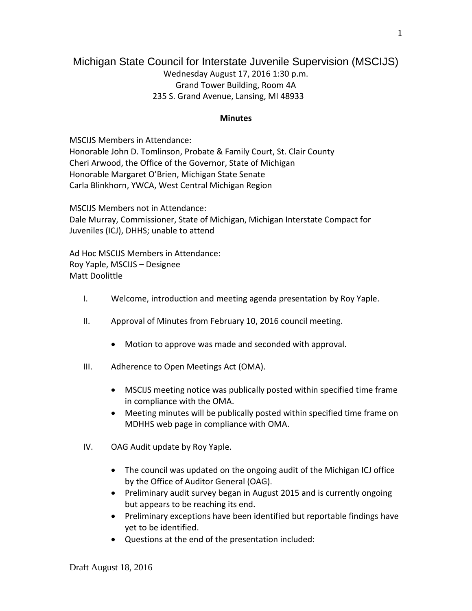## Michigan State Council for Interstate Juvenile Supervision (MSCIJS)

Wednesday August 17, 2016 1:30 p.m. Grand Tower Building, Room 4A 235 S. Grand Avenue, Lansing, MI 48933

## **Minutes**

MSCIJS Members in Attendance: Honorable John D. Tomlinson, Probate & Family Court, St. Clair County Cheri Arwood, the Office of the Governor, State of Michigan Honorable Margaret O'Brien, Michigan State Senate Carla Blinkhorn, YWCA, West Central Michigan Region

MSCIJS Members not in Attendance: Dale Murray, Commissioner, State of Michigan, Michigan Interstate Compact for Juveniles (ICJ), DHHS; unable to attend

Ad Hoc MSCIJS Members in Attendance: Roy Yaple, MSCIJS – Designee Matt Doolittle

- I. Welcome, introduction and meeting agenda presentation by Roy Yaple.
- II. Approval of Minutes from February 10, 2016 council meeting.
	- Motion to approve was made and seconded with approval.
- III. Adherence to Open Meetings Act (OMA).
	- MSCIJS meeting notice was publically posted within specified time frame in compliance with the OMA.
	- Meeting minutes will be publically posted within specified time frame on MDHHS web page in compliance with OMA.
- IV. OAG Audit update by Roy Yaple.
	- The council was updated on the ongoing audit of the Michigan ICJ office by the Office of Auditor General (OAG).
	- Preliminary audit survey began in August 2015 and is currently ongoing but appears to be reaching its end.
	- Preliminary exceptions have been identified but reportable findings have yet to be identified.
	- Questions at the end of the presentation included: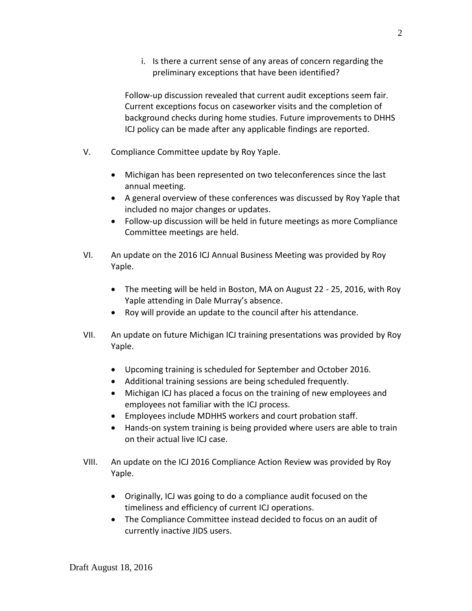i. Is there a current sense of any areas of concern regarding the preliminary exceptions that have been identified?

Follow-up discussion revealed that current audit exceptions seem fair. Current exceptions focus on caseworker visits and the completion of background checks during home studies. Future improvements to DHHS ICJ policy can be made after any applicable findings are reported.

- V. Compliance Committee update by Roy Yaple.
	- Michigan has been represented on two teleconferences since the last annual meeting.
	- A general overview of these conferences was discussed by Roy Yaple that included no major changes or updates.
	- Follow-up discussion will be held in future meetings as more Compliance Committee meetings are held.
- VI. An update on the 2016 ICJ Annual Business Meeting was provided by Roy Yaple.
	- The meeting will be held in Boston, MA on August 22 25, 2016, with Roy Yaple attending in Dale Murray's absence.
	- Roy will provide an update to the council after his attendance.
- VII. An update on future Michigan ICJ training presentations was provided by Roy Yaple.
	- Upcoming training is scheduled for September and October 2016.
	- Additional training sessions are being scheduled frequently.
	- Michigan ICJ has placed a focus on the training of new employees and employees not familiar with the ICJ process.
	- Employees include MDHHS workers and court probation staff.
	- Hands-on system training is being provided where users are able to train on their actual live ICJ case.
- VIII. An update on the ICJ 2016 Compliance Action Review was provided by Roy Yaple.
	- Originally, ICJ was going to do a compliance audit focused on the timeliness and efficiency of current ICJ operations.
	- The Compliance Committee instead decided to focus on an audit of currently inactive JIDS users.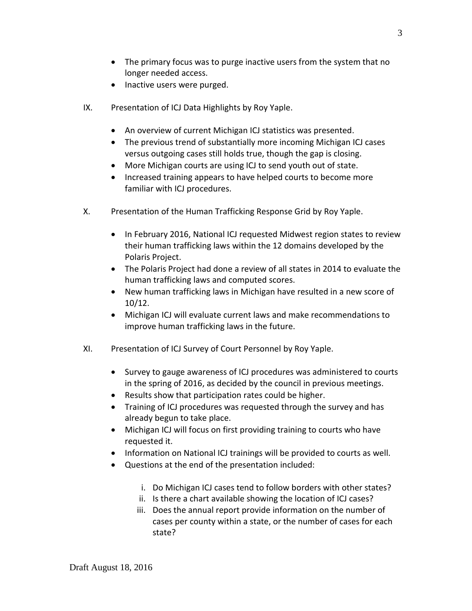- The primary focus was to purge inactive users from the system that no longer needed access.
- Inactive users were purged.
- IX. Presentation of ICJ Data Highlights by Roy Yaple.
	- An overview of current Michigan ICJ statistics was presented.
	- The previous trend of substantially more incoming Michigan ICJ cases versus outgoing cases still holds true, though the gap is closing.
	- More Michigan courts are using ICJ to send youth out of state.
	- Increased training appears to have helped courts to become more familiar with ICJ procedures.
- X. Presentation of the Human Trafficking Response Grid by Roy Yaple.
	- In February 2016, National ICJ requested Midwest region states to review their human trafficking laws within the 12 domains developed by the Polaris Project.
	- The Polaris Project had done a review of all states in 2014 to evaluate the human trafficking laws and computed scores.
	- New human trafficking laws in Michigan have resulted in a new score of 10/12.
	- Michigan ICJ will evaluate current laws and make recommendations to improve human trafficking laws in the future.
- XI. Presentation of ICJ Survey of Court Personnel by Roy Yaple.
	- Survey to gauge awareness of ICJ procedures was administered to courts in the spring of 2016, as decided by the council in previous meetings.
	- Results show that participation rates could be higher.
	- Training of ICJ procedures was requested through the survey and has already begun to take place.
	- Michigan ICJ will focus on first providing training to courts who have requested it.
	- Information on National ICJ trainings will be provided to courts as well.
	- Questions at the end of the presentation included:
		- i. Do Michigan ICJ cases tend to follow borders with other states?
		- ii. Is there a chart available showing the location of ICJ cases?
		- iii. Does the annual report provide information on the number of cases per county within a state, or the number of cases for each state?